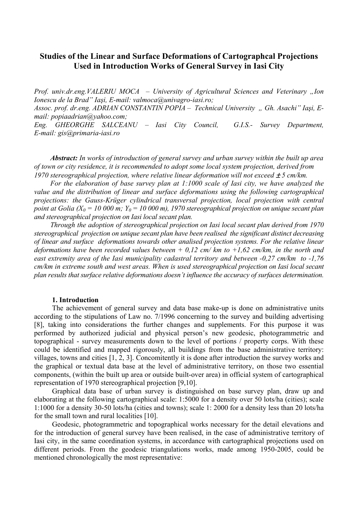## **Studies of the Linear and Surface Deformations of Cartographcal Projections Used in Introduction Works of General Survey in Iasi City**

*Prof. univ.dr.eng.VALERIU MOCA – University of Agricultural Sciences and Veterinary "Ion Ionescu de la Brad" Iaşi, E-mail: valmoca@univagro-iasi.ro; Assoc. prof. dr.eng. ADRIAN CONSTANTIN POPIA – Technical University " Gh. Asachi" Iaşi, Email: popiaadrian@yahoo.com; Eng. GHEORGHE SALCEANU – Iasi City Council, G.I.S.- Survey Department, E-mail: gis@primaria-iasi.ro* 

*Abstract: In works of introduction of general survey and urban survey within the built up area of town or city residence, it is recommended to adopt some local system projection, derived from 1970 stereographical projection, where relative linear deformation will not exceed*  $\pm$  *5 cm/km.* 

*For the elaboration of base survey plan at 1:1000 scale of Iasi city, we have analyzed the value and the distribution of linear and surface deformations using the following cartographical projections: the Gauss-Krüger cylindrical transversal projection, local projection with central point at Golia (X<sub>0</sub> = 10 000 m; Y<sub>0</sub> = 10 000 m), 1970 stereographical projection on unique secant plan and stereographical projection on Iasi local secant plan.* 

*Through the adoption of stereographical projection on Iasi local secant plan derived from 1970 stereographical projection on unique secant plan have been realised the significant distinct decreasing of linear and surface deformations towards other analised projection systems. For the relative linear deformations have been recorded values between + 0,12 cm/ km to +1,62 cm/km, in the north and east extremity area of the Iasi municipality cadastral territory and between -0,27 cm/km to -1,76 cm/km in extreme south and west areas. When is used stereographical projection on Iasi local secant plan results that surface relative deformations doesn't influence the accuracy of surfaces determination.* 

#### **1. Introduction**

The achievement of general survey and data base make-up is done on administrative units according to the stipulations of Law no. 7/1996 concerning to the survey and building advertising [8], taking into considerations the further changes and supplements. For this purpose it was performed by authorized judicial and physical person's new geodesic, photogrammetric and topographical - survey measurements down to the level of portions / property corps. With these could be identified and mapped rigorously, all buildings from the base administrative territory: villages, towns and cities [1, 2, 3]. Concomitently it is done after introduction the survey works and the graphical or textual data base at the level of administrative territory, on those two essential components, (within the built up area or outside built-over area) in official system of cartographical representation of 1970 stereographical projection [9,10].

Graphical data base of urban survey is distinguished on base survey plan, draw up and elaborating at the following cartographical scale: 1:5000 for a density over 50 lots/ha (cities); scale 1:1000 for a density 30-50 lots/ha (cities and towns); scale 1: 2000 for a density less than 20 lots/ha for the small town and rural localities [10].

Geodesic, photogrammetric and topographical works necessary for the detail elevations and for the introduction of general survey have been realised, in the case of administrative territory of Iasi city, in the same coordination systems, in accordance with cartographical projections used on different periods. From the geodesic triangulations works, made among 1950-2005, could be mentioned chronologically the most representative: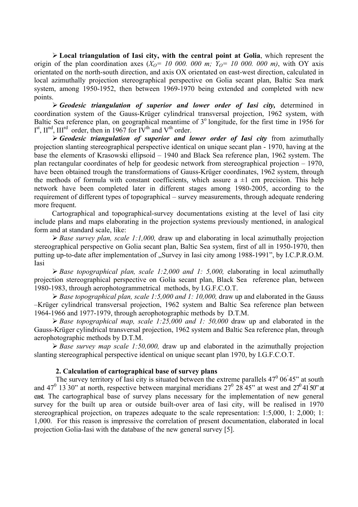¾ **Local triangulation of Iasi city, with the central point at Golia**, which represent the origin of the plan coordination axes  $(X<sub>O</sub>= 10,000,000, m; Y<sub>O</sub>= 10,000,000, m)$ , with OY axis orientated on the north-south direction, and axis OX orientated on east-west direction, calculated in local azimuthally projection stereographical perspective on Golia secant plan, Baltic Sea mark system, among 1950-1952, then between 1969-1970 being extended and completed with new points.

¾ *Geodesic triangulation of superior and lower order of Iasi city,* determined in coordination system of the Gauss-Krüger cylindrical transversal projection, 1962 system, with Baltic Sea reference plan, on geographical meantime of  $3^\circ$  longitude, for the first time in 1956 for  $I<sup>st</sup>$ ,  $II<sup>nd</sup>$ ,  $III<sup>rd</sup>$  order, then in 1967 for IV<sup>th</sup> and V<sup>th</sup> order.

¾ *Geodesic triangulation of superior and lower order of Iasi city* from azimuthally projection slanting stereographical perspective identical on unique secant plan - 1970, having at the base the elements of Krasowski ellipsoid – 1940 and Black Sea reference plan, 1962 system. The plan rectangular coordinates of help for geodesic network from stereographical projection – 1970, have been obtained trough the transformations of Gauss-Krüger coordinates, 1962 system, through the methods of formula with constant coefficients, which assure a  $\pm 1$  cm precision. This help network have been completed later in different stages among 1980-2005, according to the requirement of different types of topographical – survey measurements, through adequate rendering more frequent.

Cartographical and topographical-survey documentations existing at the level of Iasi city include plans and maps elaborating in the projection systems previously mentioned, in analogical form and at standard scale, like:

¾ *Base survey plan, scale 1:1,000,* draw up and elaborating in local azimuthally projection stereographical perspective on Golia secant plan, Baltic Sea system, first of all in 1950-1970, then putting up-to-date after implementation of "Survey in Iasi city among 1988-1991", by I.C.P.R.O.M. Iasi

¾ *Base topographical plan, scale 1:2,000 and 1: 5,000,* elaborating in local azimuthally projection stereographical perspective on Golia secant plan, Black Sea reference plan, between 1980-1983, through aerophotogrammetrical methods, by I.G.F.C.O.T.

¾ *Base topographical plan, scale 1:5,000 and 1: 10,000,* draw up and elaborated in the Gauss –Krüger cylindrical transversal projection, 1962 system and Baltic Sea reference plan between 1964-1966 and 1977-1979, through aerophotographic methods by D.T.M.

¾ *Base topographical map, scale 1:25,000 and 1: 50,000* draw up and elaborated in the Gauss-Krüger cylindrical transversal projection, 1962 system and Baltic Sea reference plan, through aerophotographic methods by D.T.M.

¾ *Base survey map scale 1:50,000,* draw up and elaborated in the azimuthally projection slanting stereographical perspective identical on unique secant plan 1970, by I.G.F.C.O.T.

#### **2. Calculation of cartographical base of survey plans**

The survey territory of Iasi city is situated between the extreme parallels  $47^{\circ}$  06<sup>'</sup>45" at south and 47<sup>0</sup> 13<sup>'</sup>30" at north, respective between marginal meridians  $27^{\circ}$   $28^{\circ}$ 45" at west and  $27^{\circ}$ 41<sup>'</sup>50" at east. The cartographical base of survey plans necessary for the implementation of new general survey for the built up area or outside built-over area of Iasi city, will be realised in 1970 stereographical projection, on trapezes adequate to the scale representation: 1:5,000, 1: 2,000; 1: 1,000. For this reason is impressive the correlation of present documentation, elaborated in local projection Golia-Iasi with the database of the new general survey [5].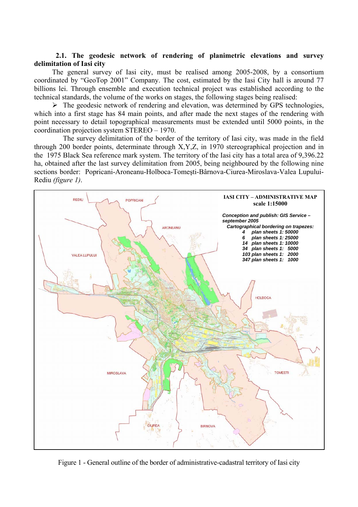#### **2.1. The geodesic network of rendering of planimetric elevations and survey delimitation of Iasi city**

The general survey of Iasi city, must be realised among 2005-2008, by a consortium coordinated by "GeoTop 2001" Company. The cost, estimated by the Iasi City hall is around 77 billions lei. Through ensemble and execution technical project was established according to the technical standards, the volume of the works on stages, the following stages being realised:

 $\triangleright$  The geodesic network of rendering and elevation, was determined by GPS technologies, which into a first stage has 84 main points, and after made the next stages of the rendering with point necessary to detail topographical measurements must be extended until 5000 points, in the coordination projection system STEREO – 1970.

 The survey delimitation of the border of the territory of Iasi city, was made in the field through 200 border points, determinate through X,Y,Z, in 1970 stereographical projection and in the 1975 Black Sea reference mark system. The territory of the Iasi city has a total area of 9,396.22 ha, obtained after the last survey delimitation from 2005, being neighboured by the following nine sections border: Popricani-Aroneanu-Holboca-Tomeşti-Bârnova-Ciurea-Miroslava-Valea Lupului-Rediu *(figure 1)*.



Figure 1 - General outline of the border of administrative-cadastral territory of Iasi city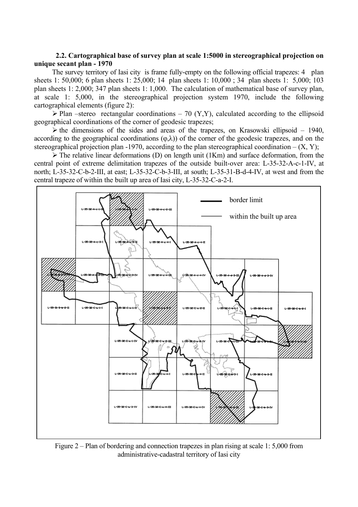#### **2.2. Cartographical base of survey plan at scale 1:5000 in stereographical projection on unique secant plan - 1970**

The survey territory of Iasi city is frame fully-empty on the following official trapezes: 4 plan sheets 1: 50,000; 6 plan sheets 1: 25,000; 14 plan sheets 1: 10,000 ; 34 plan sheets 1: 5,000; 103 plan sheets 1: 2,000; 347 plan sheets 1: 1,000. The calculation of mathematical base of survey plan, at scale 1: 5,000, in the stereographical projection system 1970, include the following cartographical elements (figure 2):

 $\triangleright$  Plan –stereo rectangular coordinations – 70 (Y,Y), calculated according to the ellipsoid geographical coordinations of the corner of geodesic trapezes;

 $\triangleright$  the dimensions of the sides and areas of the trapezes, on Krasowski ellipsoid – 1940, according to the geographical coordinations  $(\varphi, \lambda)$  of the corner of the geodesic trapezes, and on the stereographical projection plan -1970, according to the plan stereographical coordination –  $(X, Y)$ ;

 $\triangleright$  The relative linear deformations (D) on length unit (1Km) and surface deformation, from the central point of extreme delimitation trapezes of the outside built-over area: L-35-32-A-c-1-IV, at north; L-35-32-C-b-2-III, at east; L-35-32-C-b-3-III, at south; L-35-31-B-d-4-IV, at west and from the central trapeze of within the built up area of Iasi city, L-35-32-C-a-2-I.



Figure 2 – Plan of bordering and connection trapezes in plan rising at scale 1: 5,000 from administrative-cadastral territory of Iasi city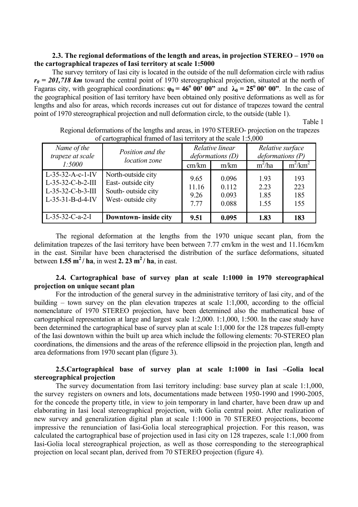## **2.3. The regional deformations of the length and areas, in projection STEREO – 1970 on the cartographical trapezes of Iasi territory at scale 1:5000**

The survey territory of Iasi city is located in the outside of the null deformation circle with radius *r0 = 201,718 km* toward the central point of 1970 stereographical projection, situated at the north of Fagaras city, with geographical coordinations:  $\varphi_0 = 46^\circ \ 00' \ 00''$  and  $\lambda_0 = 25^\circ \ 00' \ 00''$ . In the case of the geographical position of Iasi territory have been obtained only positive deformations as well as for lengths and also for areas, which records increases cut out for distance of trapezes toward the central point of 1970 stereographical projection and null deformation circle, to the outside (table 1).

**Table 1** 

| Name of the         | Position and the      | Relative linear  |       | Relative surface |            |
|---------------------|-----------------------|------------------|-------|------------------|------------|
| trapeze at scale    | location zone         | deformations (D) |       | deformations (P) |            |
| 1:5000              |                       | cm/km            | m/km  | $m^2/ha$         | $m^2/km^2$ |
| L-35-32-A-c-1-IV    | North-outside city    | 9.65             | 0.096 | 1.93             | 193        |
| $L-35-32-C-b-2-III$ | East-outside city     | 11.16            | 0.112 | 2.23             | 223        |
| $L-35-32-C-b-3-III$ | South-outside city    | 9.26             | 0.093 | 1.85             | 185        |
| L-35-31-B-d-4-IV    | West-outside city     | 7.77             | 0.088 | 1.55             | 155        |
| $L-35-32-C-a-2-I$   | Downtown- inside city | 9.51             | 0.095 | 1.83             | 183        |

Regional deformations of the lengths and areas, in 1970 STEREO- projection on the trapezes of cartographical framed of Iasi territory at the scale 1:5,000

The regional deformation at the lengths from the 1970 unique secant plan, from the delimitation trapezes of the Iasi territory have been between 7.77 cm/km in the west and 11.16cm/km in the east. Similar have been characterised the distribution of the surface deformations, situated between  $1.55 \text{ m}^2$  / ha, in west 2. 23 m<sup>2</sup> / ha, in east.

## **2.4. Cartographical base of survey plan at scale 1:1000 in 1970 stereographical projection on unique secant plan**

For the introduction of the general survey in the administrative territory of Iasi city, and of the building – town survey on the plan elevation trapezes at scale 1:1,000, according to the official nomenclature of 1970 STEREO projection, have been determined also the mathematical base of cartographical representation at large and largest scale 1:2,000. 1:1,000, 1:500. In the case study have been determined the cartographical base of survey plan at scale 1:1,000 for the 128 trapezes full-empty of the Iasi downtown within the built up area which include the following elements: 70-STEREO plan coordinations, the dimensions and the areas of the reference ellipsoid in the projection plan, length and area deformations from 1970 secant plan (figure 3).

## **2.5.Cartographical base of survey plan at scale 1:1000 in Iasi –Golia local stereographical projection**

The survey documentation from Iasi territory including: base survey plan at scale 1:1,000, the survey registers on owners and lots, documentations made between 1950-1990 and 1990-2005, for the concede the property title, in view to join temporary in land charter, have been draw up and elaborating in Iasi local stereographical projection, with Golia central point. After realization of new survey and generalization digital plan at scale 1:1000 in 70 STEREO projections, become impressive the renunciation of Iasi-Golia local stereographical projection. For this reason, was calculated the cartographical base of projection used in Iasi city on 128 trapezes, scale 1:1,000 from Iasi-Golia local stereographical projection, as well as those corresponding to the stereographical projection on local secant plan, derived from 70 STEREO projection (figure 4).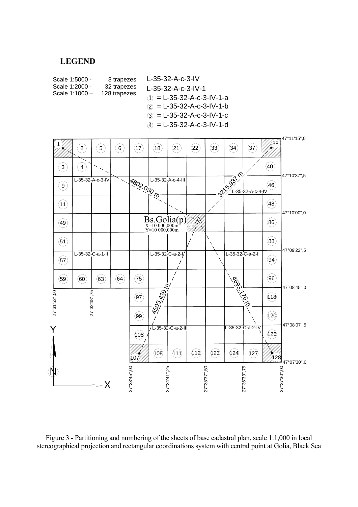# LEGEND

 $\mathord{\sim}$ X



Figure 3 - Partitioning and numbering of the sheets of base cadastral plan, scale 1:1,000 in local stereographical projection and rectangular coordinations system with central point at Golia, Black Sea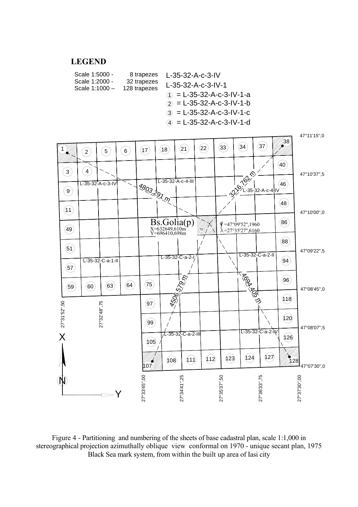#### mark system, from within the built up area of Iasi city LEGEND



Figure 4 - Partitioning and numbering of the sheets of base cadastral plan, scale 1:1,000 in stereographical projection azimuthally oblique view conformal on 1970 - unique secant plan, 1975 Black Sea mark system, from within the built up area of Iasi city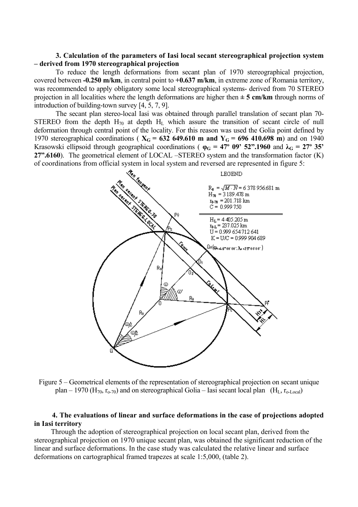#### **3. Calculation of the parameters of Iasi local secant stereographical projection system – derived from 1970 stereographical projection**

To reduce the length deformations from secant plan of 1970 stereographical projection, covered between **-0.250 m/km**, in central point to **+0.637 m/km**, in extreme zone of Romania territory, was recommended to apply obligatory some local stereographical systems- derived from 70 STEREO projection in all localities where the length deformations are higher then **± 5 cm/km** through norms of introduction of building-town survey [4, 5, 7, 9].

The secant plan stereo-local Iasi was obtained through parallel translation of secant plan 70- STEREO from the depth  $H_{70}$  at depth  $H_{L}$  which assure the transition of secant circle of null deformation through central point of the locality. For this reason was used the Golia point defined by 1970 stereographical coordinations ( $X_G = 632,649.610$  m and  $Y_G = 696,410.698$  m) and on 1940 Krasowski ellipsoid through geographical coordinations ( $\varphi_G = 47^\circ$  09' 52".1960 and  $\lambda_G = 27^\circ$  35' **27".6160**). The geometrical element of LOCAL –STEREO system and the transformation factor (K) of coordinations from official system in local system and reversed are represented in figure 5:



Figure 5 – Geometrical elements of the representation of stereographical projection on secant unique plan – 1970 (H<sub>70</sub>,  $r_{o-70}$ ) and on stereographical Golia – Iasi secant local plan (H<sub>L</sub>,  $r_{o\text{-Local}}$ )

## **4. The evaluations of linear and surface deformations in the case of projections adopted in Iasi territory**

Through the adoption of stereographical projection on local secant plan, derived from the stereographical projection on 1970 unique secant plan, was obtained the significant reduction of the linear and surface deformations. In the case study was calculated the relative linear and surface deformations on cartographical framed trapezes at scale 1:5,000, (table 2).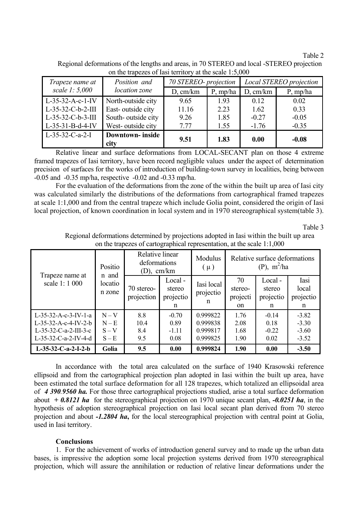Table 2

| Trapeze name at   | Position and            | 70 STEREO- projection |          | Local STEREO projection |          |  |
|-------------------|-------------------------|-----------------------|----------|-------------------------|----------|--|
| scale 1: 5,000    | location zone           | D, cm/km              | P, mp/ha | D, cm/km                | P, mp/ha |  |
| L-35-32-A-c-1-IV  | North-outside city      | 9.65                  | 1.93     | 0.12                    | 0.02     |  |
| L-35-32-C-b-2-III | East-outside city       | 11.16                 | 2.23     | 1.62                    | 0.33     |  |
| L-35-32-C-b-3-III | South-outside city      | 9.26                  | 1.85     | $-0.27$                 | $-0.05$  |  |
| L-35-31-B-d-4-IV  | West-outside city       | 7.77                  | 1.55     | $-1.76$                 | $-0.35$  |  |
| $L-35-32-C-a-2-I$ | <b>Downtown-</b> inside | 9.51                  | 1.83     |                         | $-0.08$  |  |
|                   | city                    |                       |          | 0.00                    |          |  |

Regional deformations of the lengths and areas, in 70 STEREO and local -STEREO projection on the trapezes of Iasi territory at the scale 1:5,000

 Relative linear and surface deformations from LOCAL-SECANT plan on those 4 extreme framed trapezes of Iasi territory, have been record negligible values under the aspect of determination precision of surfaces for the works of introduction of building-town survey in localities, being between -0.05 and -0.35 mp/ha, respective -0.02 and -0.33 mp/ha.

For the evaluation of the deformations from the zone of the within the built up area of Iasi city was calculated similarly the distributions of the deformations from cartographical framed trapezes at scale 1:1,000 and from the central trapeze which include Golia point, considered the origin of Iasi local projection, of known coordination in local system and in 1970 stereographical system(table 3).

Table 3

| Trapeze name at<br>scale 1:1 000                                                                  | Positio<br>n and<br>locatio<br>n zone  | Relative linear<br>deformations<br>(D), cm/km |                                    | Modulus<br>$(\mu)$                           | Relative surface deformations<br>$(P)$ , m <sup>2</sup> /ha |                                     |                                          |
|---------------------------------------------------------------------------------------------------|----------------------------------------|-----------------------------------------------|------------------------------------|----------------------------------------------|-------------------------------------------------------------|-------------------------------------|------------------------------------------|
|                                                                                                   |                                        | 70 stereo-<br>projection                      | Local-<br>stereo<br>projectio<br>n | Iasi local<br>projectio<br>n                 | 70<br>stereo-<br>projecti<br>on                             | Local -<br>stereo<br>projectio<br>n | Iasi<br>local<br>projectio<br>n          |
| $L-35-32-A-c-3-IV-1-a$<br>L-35-32-A-c-4-IV-2-b<br>$L-35-32-C-a-2-III-3-c$<br>L-35-32-C-a-2-IV-4-d | $N - V$<br>$N - E$<br>$S-V$<br>$S - E$ | 8.8<br>10.4<br>8.4<br>9.5                     | $-0.70$<br>0.89<br>$-1.11$<br>0.08 | 0.999822<br>0.999838<br>0.999817<br>0.999825 | 1.76<br>2.08<br>1.68<br>1.90                                | $-0.14$<br>0.18<br>$-0.22$<br>0.02  | $-3.82$<br>$-3.30$<br>$-3.60$<br>$-3.52$ |
| $L-35-32-C-a-2-I-2-b$                                                                             | Golia                                  | 9.5                                           | 0.00                               | 0.999824                                     | 1.90                                                        | 0.00                                | $-3.50$                                  |

Regional deformations determined by projections adopted in Iasi within the built up area on the trapezes of cartographical representation, at the scale 1:1,000

In accordance with the total area calculated on the surface of 1940 Krasowski reference ellipsoid and from the cartographical projection plan adopted in Iasi within the built up area, have been estimated the total surface deformation for all 128 trapezes, which totalized an ellipsoidal area of *4 390.9560 ha.* For those three cartographical projections studied, arise a total surface deformation about *+ 0.8121 ha* for the stereographical projection on 1970 unique secant plan, *-0.0251 ha*, in the hypothesis of adoption stereographical projection on Iasi local secant plan derived from 70 stereo projection and about *-1.2804 ha*, for the local stereographical projection with central point at Golia, used in Iasi territory.

#### **Conclusions**

1. For the achievement of works of introduction general survey and to made up the urban data bases, is impressive the adoption some local projection systems derived from 1970 stereographical projection, which will assure the annihilation or reduction of relative linear deformations under the